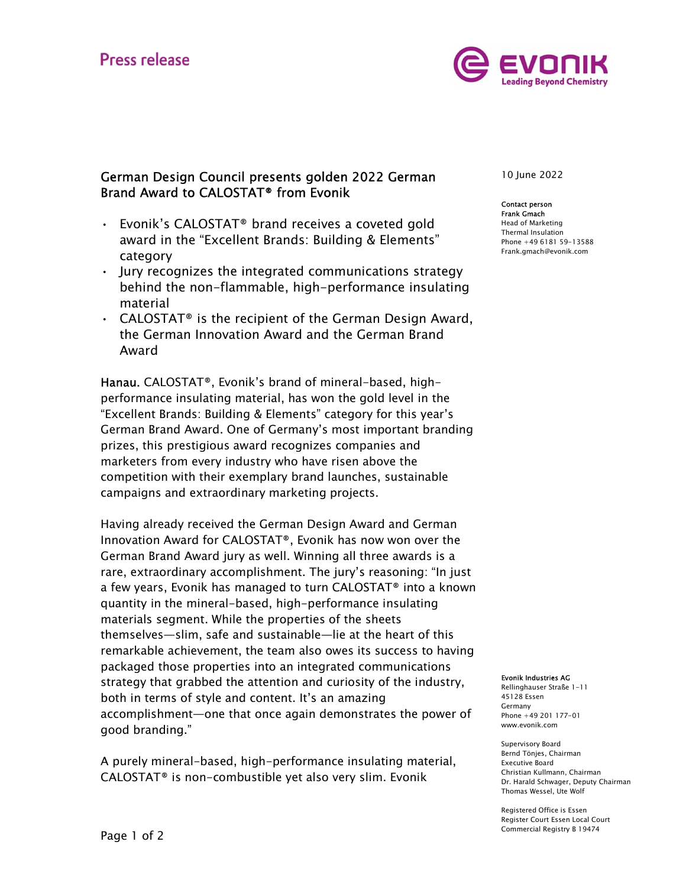

## German Design Council presents golden 2022 German Brand Award to CALOSTAT® from Evonik

- **Frank Gmach**<br>Frank Gmach CALOSTAT® brand receives a coveted gold Flead of Mark award in the "Excellent Brands: Building & Elements"
- category Jury recognizes the integrated communications strategy behind the non-flammable, high-performance insulating material • CALOSTAT® is the recipient of the German Design Award,
- the German Innovation Award and the German Brand Award

Hanau. CALOSTAT®, Evonik's brand of mineral-based, highperformance insulating material, has won the gold level in the "Excellent Brands: Building & Elements" category for this year's German Brand Award. One of Germany's most important branding prizes, this prestigious award recognizes companies and marketers from every industry who have risen above the competition with their exemplary brand launches, sustainable campaigns and extraordinary marketing projects.

Having already received the German Design Award and German Innovation Award for CALOSTAT®, Evonik has now won over the German Brand Award jury as well. Winning all three awards is a rare, extraordinary accomplishment. The jury's reasoning: "In just a few years, Evonik has managed to turn CALOSTAT® into a known quantity in the mineral-based, high-performance insulating materials segment. While the properties of the sheets themselves—slim, safe and sustainable—lie at the heart of this remarkable achievement, the team also owes its success to having packaged those properties into an integrated communications strategy that grabbed the attention and curiosity of the industry, both in terms of style and content. It's an amazing accomplishment—one that once again demonstrates the power of good branding."

A purely mineral-based, high-performance insulating material, CALOSTAT® is non-combustible yet also very slim. Evonik

10 June 2022

## Contact person Head of Marketing Thermal Insulation Phone +49 6181 59-13588 Frank.gmach@evonik.com

Evonik Industries AG

Rellinghauser Straße 1-11 45128 Essen Germany Phone +49 201 177-01 www.evonik.com

Supervisory Board Bernd Tönjes, Chairman Executive Board Christian Kullmann, Chairman Dr. Harald Schwager, Deputy Chairman Thomas Wessel, Ute Wolf

Registered Office is Essen Register Court Essen Local Court Commercial Registry B 19474